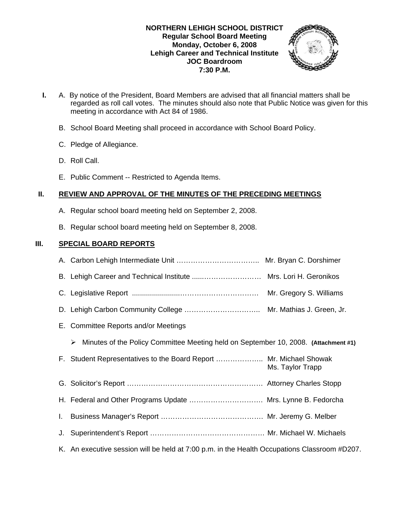### **NORTHERN LEHIGH SCHOOL DISTRICT Regular School Board Meeting Monday, October 6, 2008 Lehigh Career and Technical Institute JOC Boardroom 7:30 P.M.**



- **I.** A. By notice of the President, Board Members are advised that all financial matters shall be regarded as roll call votes. The minutes should also note that Public Notice was given for this meeting in accordance with Act 84 of 1986.
	- B. School Board Meeting shall proceed in accordance with School Board Policy.
	- C. Pledge of Allegiance.
	- D. Roll Call.
	- E. Public Comment -- Restricted to Agenda Items.

## **II. REVIEW AND APPROVAL OF THE MINUTES OF THE PRECEDING MEETINGS**

- A. Regular school board meeting held on September 2, 2008.
- B. Regular school board meeting held on September 8, 2008.

## **III. SPECIAL BOARD REPORTS**

|    | B. Lehigh Career and Technical Institute  Mrs. Lori H. Geronikos                             |                         |
|----|----------------------------------------------------------------------------------------------|-------------------------|
|    |                                                                                              | Mr. Gregory S. Williams |
|    |                                                                                              |                         |
|    | E. Committee Reports and/or Meetings                                                         |                         |
|    | Minutes of the Policy Committee Meeting held on September 10, 2008. (Attachment #1)<br>➤     |                         |
|    | F. Student Representatives to the Board Report  Mr. Michael Showak                           | Ms. Taylor Trapp        |
|    |                                                                                              |                         |
|    | H. Federal and Other Programs Update  Mrs. Lynne B. Fedorcha                                 |                         |
| L. |                                                                                              |                         |
| J. |                                                                                              |                         |
|    | K. An executive session will be held at 7:00 p.m. in the Health Occupations Classroom #D207. |                         |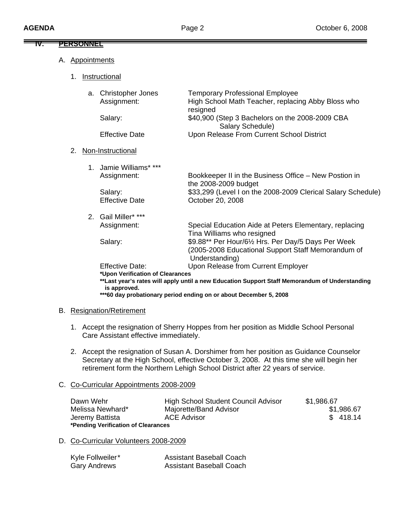| ₩.<br><u>PERSONNEL</u> |                                         |                                                                                                                             |
|------------------------|-----------------------------------------|-----------------------------------------------------------------------------------------------------------------------------|
| Appointments<br>А.     |                                         |                                                                                                                             |
| 1.                     | Instructional                           |                                                                                                                             |
| a.                     | <b>Christopher Jones</b><br>Assignment: | <b>Temporary Professional Employee</b><br>High School Math Teacher, replacing Abby Bloss who<br>resigned                    |
|                        | Salary:                                 | \$40,900 (Step 3 Bachelors on the 2008-2009 CBA<br>Salary Schedule)                                                         |
|                        | <b>Effective Date</b>                   | Upon Release From Current School District                                                                                   |
| 2.                     | Non-Instructional                       |                                                                                                                             |
| $1_{-}$                | Jamie Williams* ***                     |                                                                                                                             |
|                        | Assignment:                             | Bookkeeper II in the Business Office - New Postion in<br>the 2008-2009 budget                                               |
|                        | Salary:                                 | \$33,299 (Level I on the 2008-2009 Clerical Salary Schedule)                                                                |
|                        | <b>Effective Date</b>                   | October 20, 2008                                                                                                            |
| $2^{\circ}$            | Gail Miller* ***                        |                                                                                                                             |
|                        | Assignment:                             | Special Education Aide at Peters Elementary, replacing<br>Tina Williams who resigned                                        |
|                        | Salary:                                 | \$9.88** Per Hour/61/2 Hrs. Per Day/5 Days Per Week<br>(2005-2008 Educational Support Staff Memorandum of<br>Understanding) |
|                        | <b>Effective Date:</b>                  | Upon Release from Current Employer                                                                                          |
|                        | *Upon Verification of Clearances        | **Lost vegr's rotes will annly until a now Education Cunnert Ctoff Memorandum of Understanding                              |

**\*\*Last year's rates will apply until a new Education Support Staff Memorandum of Understanding is approved.** 

 **\*\*\*60 day probationary period ending on or about December 5, 2008** 

### B. Resignation/Retirement

- 1. Accept the resignation of Sherry Hoppes from her position as Middle School Personal Care Assistant effective immediately.
- 2. Accept the resignation of Susan A. Dorshimer from her position as Guidance Counselor Secretary at the High School, effective October 3, 2008. At this time she will begin her retirement form the Northern Lehigh School District after 22 years of service.

## C. Co-Curricular Appointments 2008-2009

| Dawn Wehr                           | <b>High School Student Council Advisor</b> | \$1,986.67 |  |  |
|-------------------------------------|--------------------------------------------|------------|--|--|
| Melissa Newhard*                    | Majorette/Band Advisor                     | \$1,986.67 |  |  |
| Jeremy Battista                     | <b>ACE Advisor</b>                         | \$418.14   |  |  |
| *Pending Verification of Clearances |                                            |            |  |  |

D. Co-Curricular Volunteers 2008-2009

| Kyle Follweiler* | <b>Assistant Baseball Coach</b> |
|------------------|---------------------------------|
| Gary Andrews     | <b>Assistant Baseball Coach</b> |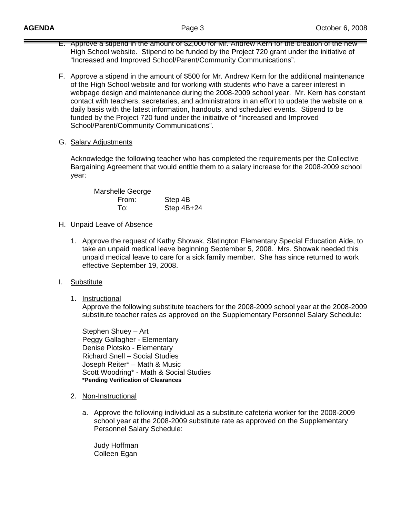- E. Approve a stipend in the amount of \$2,000 for Mr. Andrew Kern for the creation of the new High School website. Stipend to be funded by the Project 720 grant under the initiative of "Increased and Improved School/Parent/Community Communications".
- F. Approve a stipend in the amount of \$500 for Mr. Andrew Kern for the additional maintenance of the High School website and for working with students who have a career interest in webpage design and maintenance during the 2008-2009 school year. Mr. Kern has constant contact with teachers, secretaries, and administrators in an effort to update the website on a daily basis with the latest information, handouts, and scheduled events. Stipend to be funded by the Project 720 fund under the initiative of "Increased and Improved School/Parent/Community Communications".
- G. Salary Adjustments

 Acknowledge the following teacher who has completed the requirements per the Collective Bargaining Agreement that would entitle them to a salary increase for the 2008-2009 school year:

 Marshelle George From: Step 4B To: Step 4B+24

### H. Unpaid Leave of Absence

1. Approve the request of Kathy Showak, Slatington Elementary Special Education Aide, to take an unpaid medical leave beginning September 5, 2008. Mrs. Showak needed this unpaid medical leave to care for a sick family member. She has since returned to work effective September 19, 2008.

### I. Substitute

1. Instructional

 Approve the following substitute teachers for the 2008-2009 school year at the 2008-2009 substitute teacher rates as approved on the Supplementary Personnel Salary Schedule:

Stephen Shuey – Art Peggy Gallagher - Elementary Denise Plotsko - Elementary Richard Snell – Social Studies Joseph Reiter\* – Math & Music Scott Woodring\* - Math & Social Studies **\*Pending Verification of Clearances** 

- 2. Non-Instructional
	- a. Approve the following individual as a substitute cafeteria worker for the 2008-2009 school year at the 2008-2009 substitute rate as approved on the Supplementary Personnel Salary Schedule:

 Judy Hoffman Colleen Egan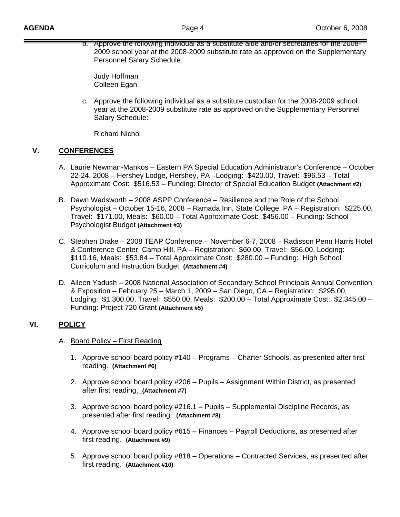b. Approve the following individual as a substitute aide and/or secretaries for the 2008- 2009 school year at the 2008-2009 substitute rate as approved on the Supplementary Personnel Salary Schedule:

 Judy Hoffman Colleen Egan

c. Approve the following individual as a substitute custodian for the 2008-2009 school year at the 2008-2009 substitute rate as approved on the Supplementary Personnel Salary Schedule:

Richard Nichol

## **V. CONFERENCES**

- A. Laurie Newman-Mankos Eastern PA Special Education Administrator's Conference October 22-24, 2008 – Hershey Lodge, Hershey, PA –Lodging: \$420.00, Travel: \$96.53 – Total Approximate Cost: \$516.53 – Funding: Director of Special Education Budget **(Attachment #2)**
- B. Dawn Wadsworth 2008 ASPP Conference Resilience and the Role of the School Psychologist – October 15-16, 2008 – Ramada Inn, State College, PA – Registration: \$225.00, Travel: \$171.00, Meals: \$60.00 – Total Approximate Cost: \$456.00 – Funding: School Psychologist Budget **(Attachment #3)**
- C. Stephen Drake 2008 TEAP Conference November 6-7, 2008 Radisson Penn Harris Hotel & Conference Center, Camp Hill, PA – Registration: \$60.00, Travel: \$56.00, Lodging: \$110.16, Meals: \$53.84 – Total Approximate Cost: \$280.00 – Funding: High School Curriculum and Instruction Budget **(Attachment #4)**
- D. Aileen Yadush 2008 National Association of Secondary School Principals Annual Convention & Exposition – February 25 – March 1, 2009 – San Diego, CA – Registration: \$295.00, Lodging: \$1,300.00, Travel: \$550.00, Meals: \$200.00 – Total Approximate Cost: \$2,345.00 – Funding: Project 720 Grant **(Attachment #5)**

# **VI. POLICY**

## A. Board Policy – First Reading

- 1. Approve school board policy #140 Programs Charter Schools, as presented after first reading. **(Attachment #6)**
- 2. Approve school board policy #206 Pupils Assignment Within District, as presented after first reading. **(Attachment #7)**
- 3. Approve school board policy #216.1 Pupils Supplemental Discipline Records, as presented after first reading. **(Attachment #8)**
- 4. Approve school board policy #615 Finances Payroll Deductions, as presented after first reading. **(Attachment #9)**
- 5. Approve school board policy #818 Operations Contracted Services, as presented after first reading. **(Attachment #10)**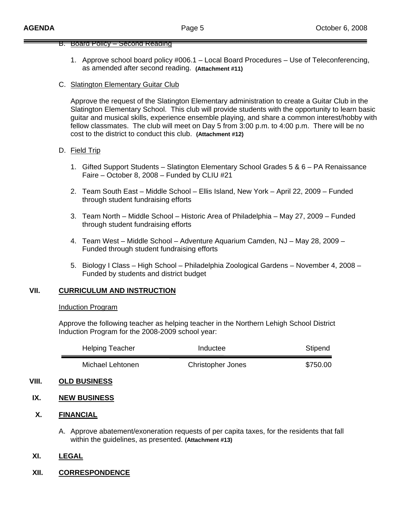#### B. Board Policy – Second Reading

- 1. Approve school board policy #006.1 Local Board Procedures Use of Teleconferencing, as amended after second reading. **(Attachment #11)**
- C. Slatington Elementary Guitar Club

 Approve the request of the Slatington Elementary administration to create a Guitar Club in the Slatington Elementary School. This club will provide students with the opportunity to learn basic guitar and musical skills, experience ensemble playing, and share a common interest/hobby with fellow classmates. The club will meet on Day 5 from 3:00 p.m. to 4:00 p.m. There will be no cost to the district to conduct this club. **(Attachment #12)** 

### D. Field Trip

- 1. Gifted Support Students Slatington Elementary School Grades 5 & 6 PA Renaissance Faire – October 8, 2008 – Funded by CLIU #21
- 2. Team South East Middle School Ellis Island, New York April 22, 2009 Funded through student fundraising efforts
- 3. Team North Middle School Historic Area of Philadelphia May 27, 2009 Funded through student fundraising efforts
- 4. Team West Middle School Adventure Aquarium Camden, NJ May 28, 2009 Funded through student fundraising efforts
- 5. Biology I Class High School Philadelphia Zoological Gardens November 4, 2008 Funded by students and district budget

## **VII. CURRICULUM AND INSTRUCTION**

#### Induction Program

Approve the following teacher as helping teacher in the Northern Lehigh School District Induction Program for the 2008-2009 school year:

| <b>Helping Teacher</b> | Inductee                 | Stipend  |
|------------------------|--------------------------|----------|
| Michael Lehtonen       | <b>Christopher Jones</b> | \$750.00 |

### **VIII. OLD BUSINESS**

### **IX. NEW BUSINESS**

### **X. FINANCIAL**

A. Approve abatement/exoneration requests of per capita taxes, for the residents that fall within the guidelines, as presented. **(Attachment #13)**

## **XI. LEGAL**

**XII. CORRESPONDENCE**